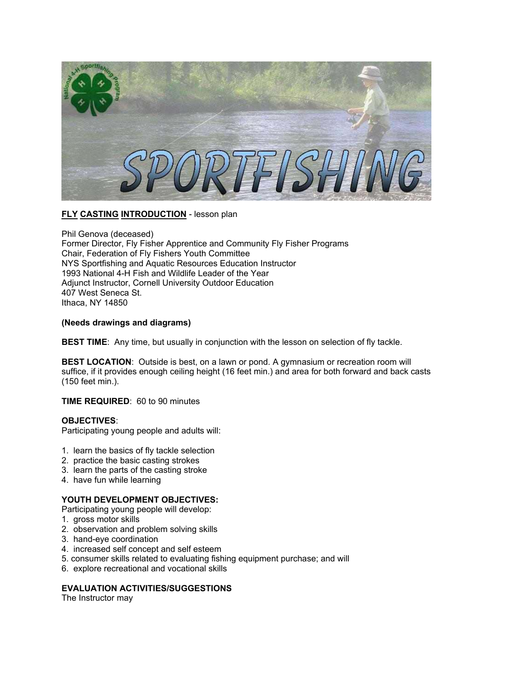

# **FLY CASTING INTRODUCTION** - lesson plan

Phil Genova (deceased) Former Director, Fly Fisher Apprentice and Community Fly Fisher Programs Chair, Federation of Fly Fishers Youth Committee NYS Sportfishing and Aquatic Resources Education Instructor 1993 National 4-H Fish and Wildlife Leader of the Year Adjunct Instructor, Cornell University Outdoor Education 407 West Seneca St. Ithaca, NY 14850

#### **(Needs drawings and diagrams)**

**BEST TIME**: Any time, but usually in conjunction with the lesson on selection of fly tackle.

**BEST LOCATION:** Outside is best, on a lawn or pond. A gymnasium or recreation room will suffice, if it provides enough ceiling height (16 feet min.) and area for both forward and back casts (150 feet min.).

## **TIME REQUIRED**: 60 to 90 minutes

#### **OBJECTIVES**:

Participating young people and adults will:

- 1. learn the basics of fly tackle selection
- 2. practice the basic casting strokes
- 3. learn the parts of the casting stroke
- 4. have fun while learning

## **YOUTH DEVELOPMENT OBJECTIVES:**

Participating young people will develop:

- 1. gross motor skills
- 2. observation and problem solving skills
- 3. hand-eye coordination
- 4. increased self concept and self esteem
- 5. consumer skills related to evaluating fishing equipment purchase; and will
- 6. explore recreational and vocational skills

# **EVALUATION ACTIVITIES/SUGGESTIONS**

The Instructor may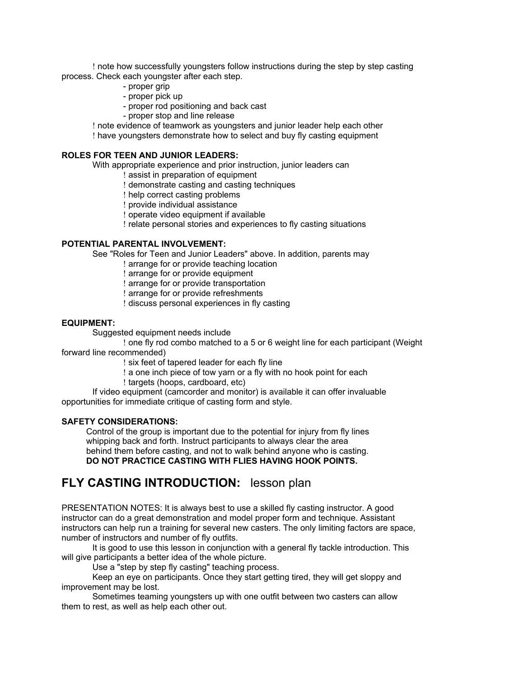! note how successfully youngsters follow instructions during the step by step casting process. Check each youngster after each step.

- proper grip
- proper pick up
- proper rod positioning and back cast
- proper stop and line release
- ! note evidence of teamwork as youngsters and junior leader help each other
- ! have youngsters demonstrate how to select and buy fly casting equipment

## **ROLES FOR TEEN AND JUNIOR LEADERS:**

- With appropriate experience and prior instruction, junior leaders can
	- ! assist in preparation of equipment
	- ! demonstrate casting and casting techniques
	- ! help correct casting problems
	- ! provide individual assistance
	- ! operate video equipment if available
	- ! relate personal stories and experiences to fly casting situations

#### **POTENTIAL PARENTAL INVOLVEMENT:**

See "Roles for Teen and Junior Leaders" above. In addition, parents may

- ! arrange for or provide teaching location
- ! arrange for or provide equipment
- ! arrange for or provide transportation
- ! arrange for or provide refreshments
- ! discuss personal experiences in fly casting

# **EQUIPMENT:**

Suggested equipment needs include

! one fly rod combo matched to a 5 or 6 weight line for each participant (Weight forward line recommended)

! six feet of tapered leader for each fly line

- ! a one inch piece of tow yarn or a fly with no hook point for each
- ! targets (hoops, cardboard, etc)

If video equipment (camcorder and monitor) is available it can offer invaluable opportunities for immediate critique of casting form and style.

#### **SAFETY CONSIDERATIONS:**

Control of the group is important due to the potential for injury from fly lines whipping back and forth. Instruct participants to always clear the area behind them before casting, and not to walk behind anyone who is casting. **DO NOT PRACTICE CASTING WITH FLIES HAVING HOOK POINTS.**

# **FLY CASTING INTRODUCTION:** lesson plan

PRESENTATION NOTES: It is always best to use a skilled fly casting instructor. A good instructor can do a great demonstration and model proper form and technique. Assistant instructors can help run a training for several new casters. The only limiting factors are space, number of instructors and number of fly outfits.

It is good to use this lesson in conjunction with a general fly tackle introduction. This will give participants a better idea of the whole picture.

Use a "step by step fly casting" teaching process.

Keep an eye on participants. Once they start getting tired, they will get sloppy and improvement may be lost.

Sometimes teaming youngsters up with one outfit between two casters can allow them to rest, as well as help each other out.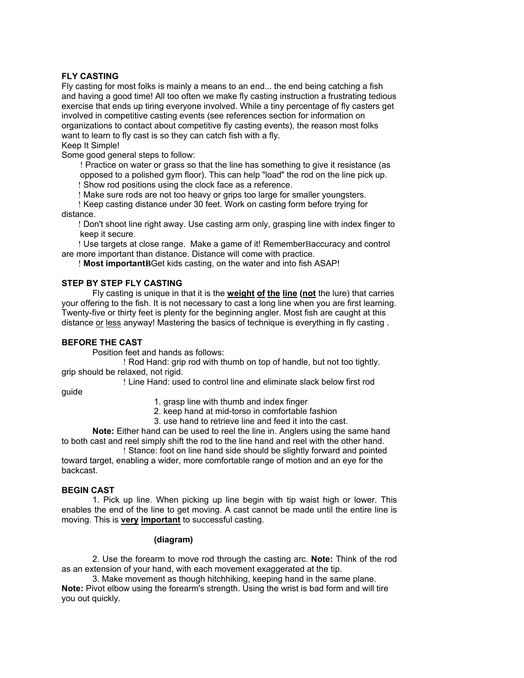# **FLY CASTING**

Fly casting for most folks is mainly a means to an end... the end being catching a fish and having a good time! All too often we make fly casting instruction a frustrating tedious exercise that ends up tiring everyone involved. While a tiny percentage of fly casters get involved in competitive casting events (see references section for information on organizations to contact about competitive fly casting events), the reason most folks want to learn to fly cast is so they can catch fish with a fly.

Keep It Simple!

Some good general steps to follow:

! Practice on water or grass so that the line has something to give it resistance (as opposed to a polished gym floor). This can help "load" the rod on the line pick up. ! Show rod positions using the clock face as a reference.

! Make sure rods are not too heavy or grips too large for smaller youngsters.

 ! Keep casting distance under 30 feet. Work on casting form before trying for distance.

 ! Don't shoot line right away. Use casting arm only, grasping line with index finger to keep it secure.

 ! Use targets at close range. Make a game of it! RememberBaccuracy and control are more important than distance. Distance will come with practice.

! **Most importantB**Get kids casting, on the water and into fish ASAP!

# **STEP BY STEP FLY CASTING**

Fly casting is unique in that it is the **weight of the line (not** the lure) that carries your offering to the fish. It is not necessary to cast a long line when you are first learning. Twenty-five or thirty feet is plenty for the beginning angler. Most fish are caught at this distance or less anyway! Mastering the basics of technique is everything in fly casting .

#### **BEFORE THE CAST**

Position feet and hands as follows:

! Rod Hand: grip rod with thumb on top of handle, but not too tightly. grip should be relaxed, not rigid.

! Line Hand: used to control line and eliminate slack below first rod

guide

- 1. grasp line with thumb and index finger
- 2. keep hand at mid-torso in comfortable fashion
- 3. use hand to retrieve line and feed it into the cast.

**Note:** Either hand can be used to reel the line in. Anglers using the same hand to both cast and reel simply shift the rod to the line hand and reel with the other hand.

! Stance: foot on line hand side should be slightly forward and pointed toward target, enabling a wider, more comfortable range of motion and an eye for the backcast.

# **BEGIN CAST**

1. Pick up line. When picking up line begin with tip waist high or lower. This enables the end of the line to get moving. A cast cannot be made until the entire line is moving. This is **very important** to successful casting.

#### **(diagram)**

2. Use the forearm to move rod through the casting arc. **Note:** Think of the rod as an extension of your hand, with each movement exaggerated at the tip.

3. Make movement as though hitchhiking, keeping hand in the same plane. **Note:** Pivot elbow using the forearm's strength. Using the wrist is bad form and will tire you out quickly.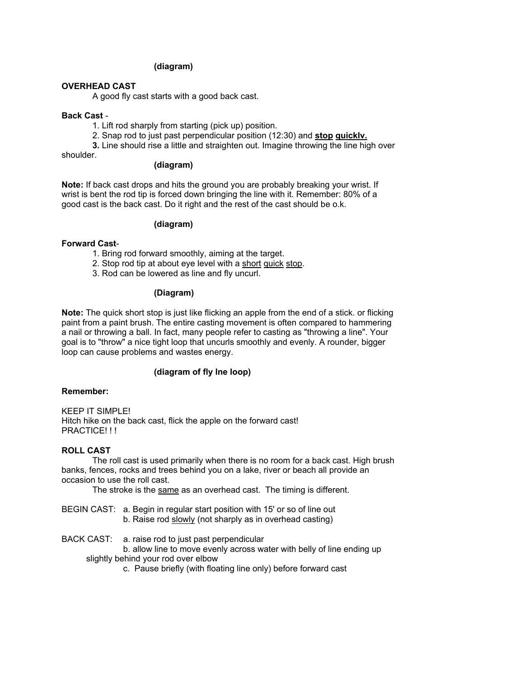#### **(diagram)**

#### **OVERHEAD CAST**

A good fly cast starts with a good back cast.

#### **Back Cast** -

1. Lift rod sharply from starting (pick up) position.

2. Snap rod to just past perpendicular position (12:30) and **stop quicklv.** 

**3.** Line should rise a little and straighten out. Imagine throwing the line high over

shoulder.

#### **(diagram)**

**Note:** If back cast drops and hits the ground you are probably breaking your wrist. If wrist is bent the rod tip is forced down bringing the line with it. Remember: 80% of a good cast is the back cast. Do it right and the rest of the cast should be o.k.

#### **(diagram)**

#### **Forward Cast**-

- 1. Bring rod forward smoothly, aiming at the target.
- 2. Stop rod tip at about eye level with a short quick stop.
- 3. Rod can be lowered as line and fly uncurl.

#### **(Diagram)**

**Note:** The quick short stop is just like flicking an apple from the end of a stick. or flicking paint from a paint brush. The entire casting movement is often compared to hammering a nail or throwing a ball. In fact, many people refer to casting as "throwing a line". Your goal is to "throw" a nice tight loop that uncurls smoothly and evenly. A rounder, bigger loop can cause problems and wastes energy.

#### **(diagram of fly lne loop)**

#### **Remember:**

KEEP IT SIMPLE! Hitch hike on the back cast, flick the apple on the forward cast! PRACTICE!!!

#### **ROLL CAST**

The roll cast is used primarily when there is no room for a back cast. High brush banks, fences, rocks and trees behind you on a lake, river or beach all provide an occasion to use the roll cast.

The stroke is the same as an overhead cast. The timing is different.

BEGIN CAST: a. Begin in regular start position with 15' or so of line out b. Raise rod slowly (not sharply as in overhead casting)

BACK CAST: a. raise rod to just past perpendicular

b. allow line to move evenly across water with belly of line ending up

- slightly behind your rod over elbow
	- c. Pause briefly (with floating line only) before forward cast